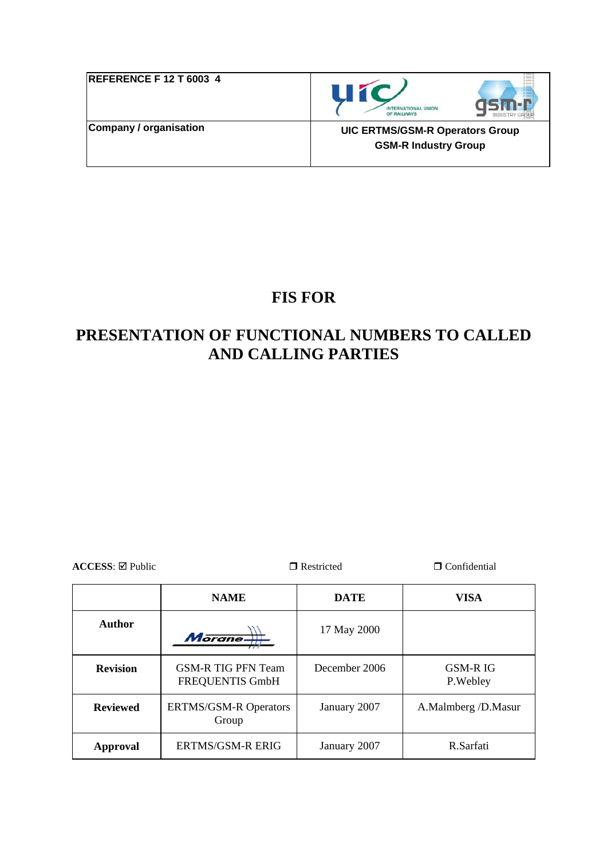| <b>REFERENCE F 12 T 6003 4</b> | UIC<br><b>INTERNATIONAL UNION</b><br>OF RAILWAYS                      |
|--------------------------------|-----------------------------------------------------------------------|
| <b>Company / organisation</b>  | <b>UIC ERTMS/GSM-R Operators Group</b><br><b>GSM-R Industry Group</b> |

# **FIS FOR**

# **PRESENTATION OF FUNCTIONAL NUMBERS TO CALLED AND CALLING PARTIES**

**ACCESS**:  $\Box$  **Restricted**  $\Box$  **Confidential** 

|                 | <b>NAME</b>                                  | <b>DATE</b>   | VISA                         |
|-----------------|----------------------------------------------|---------------|------------------------------|
| Author          | Morane-                                      | 17 May 2000   |                              |
| <b>Revision</b> | <b>GSM-R TIG PFN Team</b><br>FREQUENTIS GmbH | December 2006 | <b>GSM-R IG</b><br>P. Webley |
| <b>Reviewed</b> | <b>ERTMS/GSM-R Operators</b><br>Group        | January 2007  | A.Malmberg /D.Masur          |
| Approval        | <b>ERTMS/GSM-R ERIG</b>                      | January 2007  | R.Sarfati                    |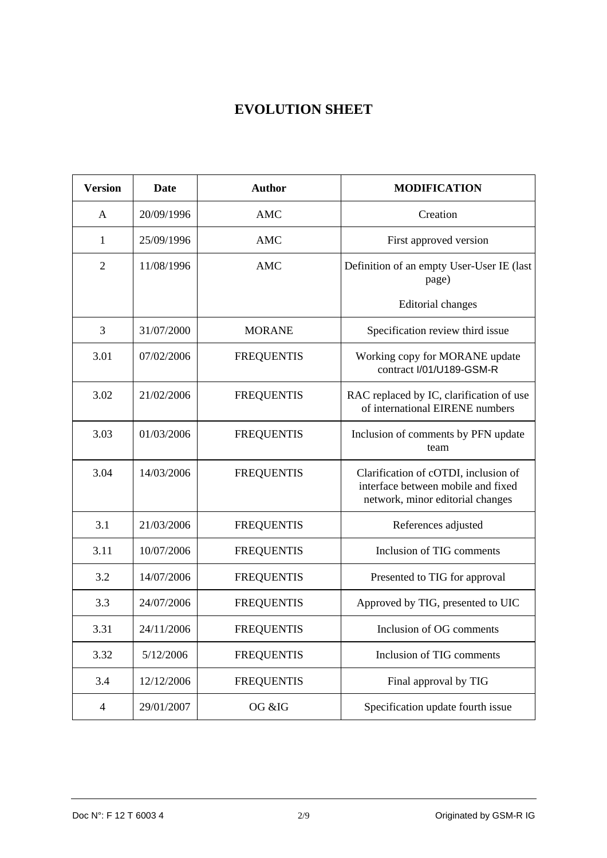## **EVOLUTION SHEET**

| <b>Version</b> | <b>Date</b> | <b>Author</b>     | <b>MODIFICATION</b>                                                                                            |
|----------------|-------------|-------------------|----------------------------------------------------------------------------------------------------------------|
| A              | 20/09/1996  | <b>AMC</b>        | Creation                                                                                                       |
| $\mathbf{1}$   | 25/09/1996  | <b>AMC</b>        | First approved version                                                                                         |
| $\overline{2}$ | 11/08/1996  | <b>AMC</b>        | Definition of an empty User-User IE (last<br>page)                                                             |
|                |             |                   | <b>Editorial</b> changes                                                                                       |
| 3              | 31/07/2000  | <b>MORANE</b>     | Specification review third issue                                                                               |
| 3.01           | 07/02/2006  | <b>FREQUENTIS</b> | Working copy for MORANE update<br>contract I/01/U189-GSM-R                                                     |
| 3.02           | 21/02/2006  | <b>FREQUENTIS</b> | RAC replaced by IC, clarification of use<br>of international EIRENE numbers                                    |
| 3.03           | 01/03/2006  | <b>FREQUENTIS</b> | Inclusion of comments by PFN update<br>team                                                                    |
| 3.04           | 14/03/2006  | <b>FREQUENTIS</b> | Clarification of cOTDI, inclusion of<br>interface between mobile and fixed<br>network, minor editorial changes |
| 3.1            | 21/03/2006  | <b>FREQUENTIS</b> | References adjusted                                                                                            |
| 3.11           | 10/07/2006  | <b>FREQUENTIS</b> | Inclusion of TIG comments                                                                                      |
| 3.2            | 14/07/2006  | <b>FREQUENTIS</b> | Presented to TIG for approval                                                                                  |
| 3.3            | 24/07/2006  | <b>FREQUENTIS</b> | Approved by TIG, presented to UIC                                                                              |
| 3.31           | 24/11/2006  | <b>FREQUENTIS</b> | Inclusion of OG comments                                                                                       |
| 3.32           | 5/12/2006   | <b>FREQUENTIS</b> | Inclusion of TIG comments                                                                                      |
| 3.4            | 12/12/2006  | <b>FREQUENTIS</b> | Final approval by TIG                                                                                          |
| $\overline{4}$ | 29/01/2007  | OG &IG            | Specification update fourth issue                                                                              |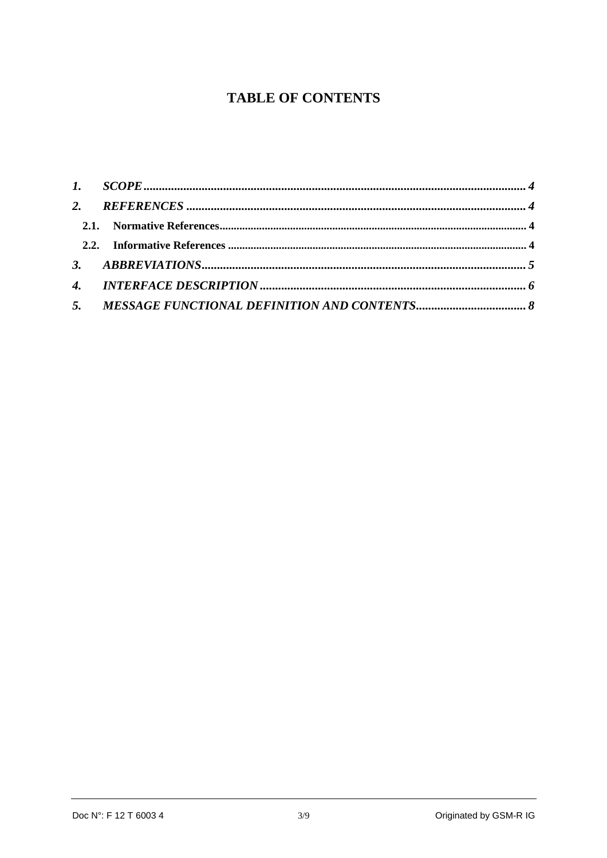## **TABLE OF CONTENTS**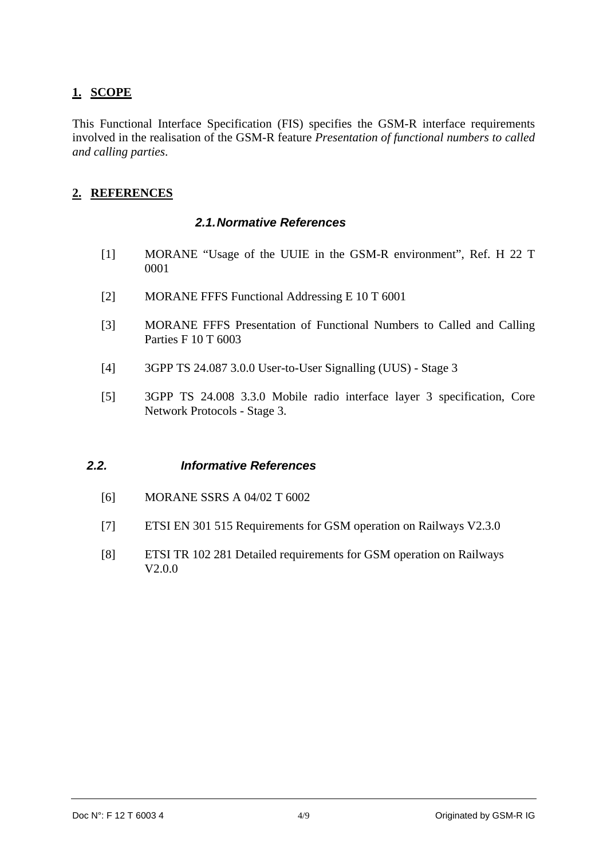## <span id="page-3-0"></span>**1. SCOPE**

This Functional Interface Specification (FIS) specifies the GSM-R interface requirements involved in the realisation of the GSM-R feature *Presentation of functional numbers to called and calling parties*.

### **2. REFERENCES**

#### *2.1. Normative References*

- [1] MORANE "Usage of the UUIE in the GSM-R environment", Ref. H 22 T 0001
- [2] MORANE FFFS Functional Addressing E 10 T 6001
- [3] MORANE FFFS Presentation of Functional Numbers to Called and Calling Parties F 10 T 6003
- [4] 3GPP TS 24.087 3.0.0 User-to-User Signalling (UUS) Stage 3
- [5] 3GPP TS 24.008 3.3.0 Mobile radio interface layer 3 specification, Core Network Protocols - Stage 3.

#### *2.2. Informative References*

- [6] MORANE SSRS A 04/02 T 6002
- [7] ETSI EN 301 515 Requirements for GSM operation on Railways V2.3.0
- [8] ETSI TR 102 281 Detailed requirements for GSM operation on Railways V2.0.0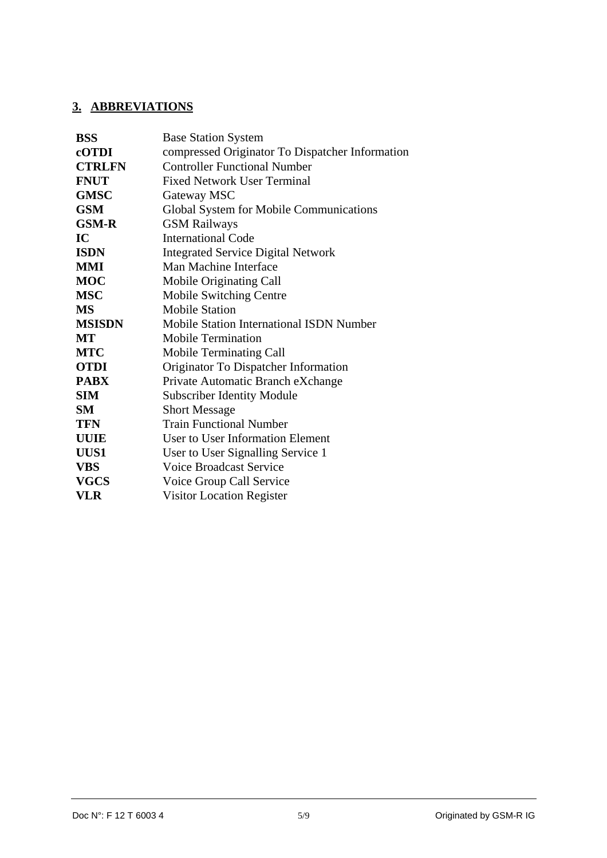#### <span id="page-4-0"></span>**3. ABBREVIATIONS**

| <b>BSS</b>    | <b>Base Station System</b>                      |
|---------------|-------------------------------------------------|
| cOTDI         | compressed Originator To Dispatcher Information |
| <b>CTRLFN</b> | <b>Controller Functional Number</b>             |
| <b>FNUT</b>   | <b>Fixed Network User Terminal</b>              |
| <b>GMSC</b>   | Gateway MSC                                     |
| <b>GSM</b>    | Global System for Mobile Communications         |
| <b>GSM-R</b>  | <b>GSM Railways</b>                             |
| IC            | <b>International Code</b>                       |
| <b>ISDN</b>   | <b>Integrated Service Digital Network</b>       |
| MMI           | Man Machine Interface                           |
| <b>MOC</b>    | Mobile Originating Call                         |
| <b>MSC</b>    | Mobile Switching Centre                         |
| <b>MS</b>     | <b>Mobile Station</b>                           |
| <b>MSISDN</b> | <b>Mobile Station International ISDN Number</b> |
| MT            | <b>Mobile Termination</b>                       |
| <b>MTC</b>    | Mobile Terminating Call                         |
| <b>OTDI</b>   | Originator To Dispatcher Information            |
| <b>PABX</b>   | Private Automatic Branch eXchange               |
| <b>SIM</b>    | <b>Subscriber Identity Module</b>               |
| <b>SM</b>     | <b>Short Message</b>                            |
| <b>TFN</b>    | <b>Train Functional Number</b>                  |
| <b>UUIE</b>   | User to User Information Element                |
| UUS1          | User to User Signalling Service 1               |
| <b>VBS</b>    | <b>Voice Broadcast Service</b>                  |
| <b>VGCS</b>   | Voice Group Call Service                        |
| VLR           | <b>Visitor Location Register</b>                |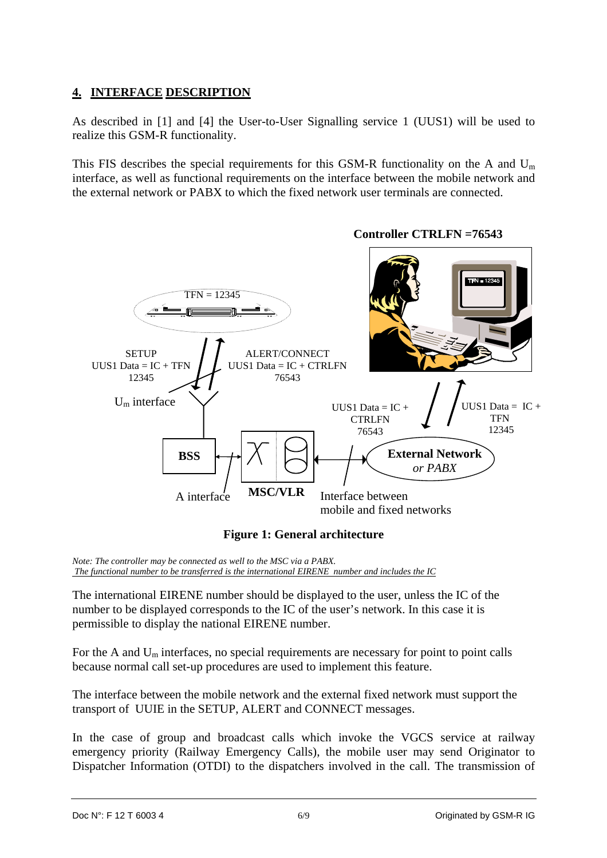## <span id="page-5-0"></span>**4. INTERFACE DESCRIPTION**

As described in [1] and [4] the User-to-User Signalling service 1 (UUS1) will be used to realize this GSM-R functionality.

This FIS describes the special requirements for this GSM-R functionality on the A and  $U_m$ interface, as well as functional requirements on the interface between the mobile network and the external network or PABX to which the fixed network user terminals are connected.



#### **Figure 1: General architecture**

*Note: The controller may be connected as well to the MSC via a PABX. The functional number to be transferred is the international EIRENE number and includes the IC*

The international EIRENE number should be displayed to the user, unless the IC of the number to be displayed corresponds to the IC of the user's network. In this case it is permissible to display the national EIRENE number.

For the A and  $U_m$  interfaces, no special requirements are necessary for point to point calls because normal call set-up procedures are used to implement this feature.

The interface between the mobile network and the external fixed network must support the transport of UUIE in the SETUP, ALERT and CONNECT messages.

In the case of group and broadcast calls which invoke the VGCS service at railway emergency priority (Railway Emergency Calls), the mobile user may send Originator to Dispatcher Information (OTDI) to the dispatchers involved in the call. The transmission of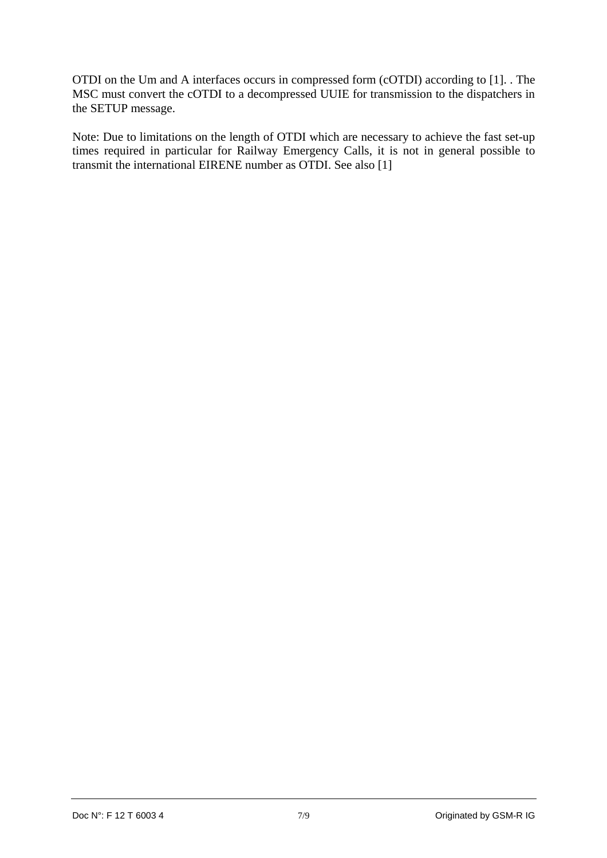OTDI on the Um and A interfaces occurs in compressed form (cOTDI) according to [1]. . The MSC must convert the cOTDI to a decompressed UUIE for transmission to the dispatchers in the SETUP message.

Note: Due to limitations on the length of OTDI which are necessary to achieve the fast set-up times required in particular for Railway Emergency Calls, it is not in general possible to transmit the international EIRENE number as OTDI. See also [1]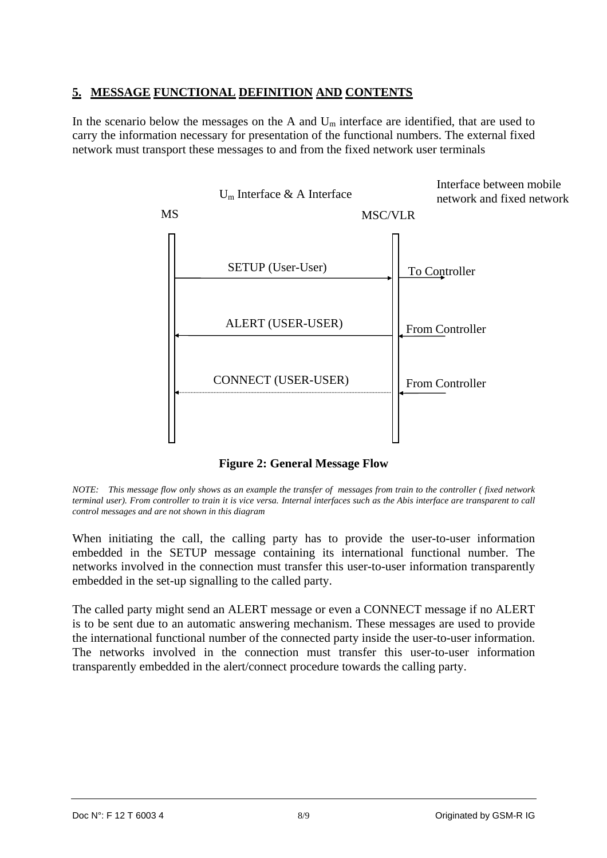#### <span id="page-7-0"></span>**5. MESSAGE FUNCTIONAL DEFINITION AND CONTENTS**

In the scenario below the messages on the A and  $U_m$  interface are identified, that are used to carry the information necessary for presentation of the functional numbers. The external fixed network must transport these messages to and from the fixed network user terminals



**Figure 2: General Message Flow** 

*NOTE: This message flow only shows as an example the transfer of messages from train to the controller ( fixed network terminal user). From controller to train it is vice versa. Internal interfaces such as the Abis interface are transparent to call control messages and are not shown in this diagram* 

When initiating the call, the calling party has to provide the user-to-user information embedded in the SETUP message containing its international functional number. The networks involved in the connection must transfer this user-to-user information transparently embedded in the set-up signalling to the called party.

The called party might send an ALERT message or even a CONNECT message if no ALERT is to be sent due to an automatic answering mechanism. These messages are used to provide the international functional number of the connected party inside the user-to-user information. The networks involved in the connection must transfer this user-to-user information transparently embedded in the alert/connect procedure towards the calling party.